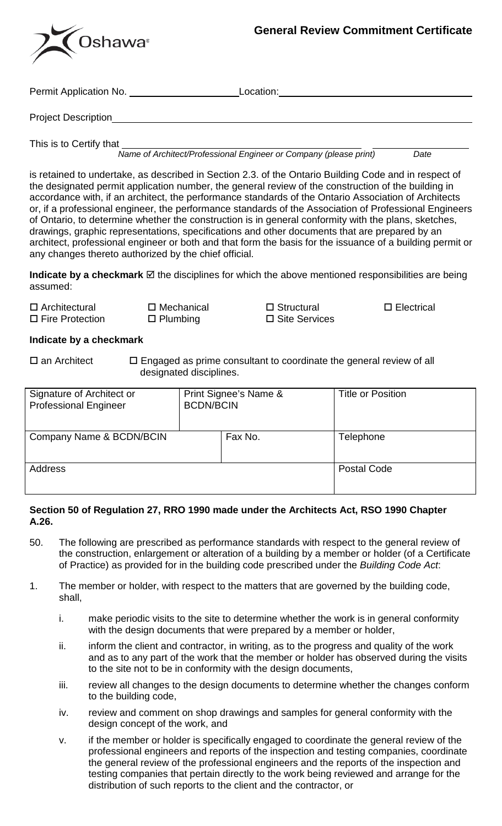

Permit Application No. **Location:** Location: Location:

Project Description

This is to Certify that

*Name of Architect/Professional Engineer or Company (please print) Date*

is retained to undertake, as described in Section 2.3. of the Ontario Building Code and in respect of the designated permit application number, the general review of the construction of the building in accordance with, if an architect, the performance standards of the Ontario Association of Architects or, if a professional engineer, the performance standards of the Association of Professional Engineers of Ontario, to determine whether the construction is in general conformity with the plans, sketches, drawings, graphic representations, specifications and other documents that are prepared by an architect, professional engineer or both and that form the basis for the issuance of a building permit or any changes thereto authorized by the chief official.

**Indicate by a checkmark**  $\boxtimes$  the disciplines for which the above mentioned responsibilities are being assumed:

| $\Box$ Architectural   | $\square$ Mechanical | $\Box$ Structural | $\square$ Electrical |
|------------------------|----------------------|-------------------|----------------------|
| $\Box$ Fire Protection | $\Box$ Plumbing      | □ Site Services   |                      |

## **Indicate by a checkmark**

 $\square$  an Architect  $\square$  Engaged as prime consultant to coordinate the general review of all designated disciplines.

| Signature of Architect or<br><b>Professional Engineer</b> | Print Signee's Name &<br><b>BCDN/BCIN</b> |         | <b>Title or Position</b> |
|-----------------------------------------------------------|-------------------------------------------|---------|--------------------------|
| Company Name & BCDN/BCIN                                  |                                           | Fax No. | Telephone                |
| Address                                                   |                                           |         | Postal Code              |

## **Section 50 of Regulation 27, RRO 1990 made under the Architects Act, RSO 1990 Chapter A.26.**

- 50. The following are prescribed as performance standards with respect to the general review of the construction, enlargement or alteration of a building by a member or holder (of a Certificate of Practice) as provided for in the building code prescribed under the *Building Code Act*:
- 1. The member or holder, with respect to the matters that are governed by the building code, shall,
	- i. make periodic visits to the site to determine whether the work is in general conformity with the design documents that were prepared by a member or holder,
	- ii. inform the client and contractor, in writing, as to the progress and quality of the work and as to any part of the work that the member or holder has observed during the visits to the site not to be in conformity with the design documents,
	- iii. review all changes to the design documents to determine whether the changes conform to the building code,
	- iv. review and comment on shop drawings and samples for general conformity with the design concept of the work, and
	- v. if the member or holder is specifically engaged to coordinate the general review of the professional engineers and reports of the inspection and testing companies, coordinate the general review of the professional engineers and the reports of the inspection and testing companies that pertain directly to the work being reviewed and arrange for the distribution of such reports to the client and the contractor, or